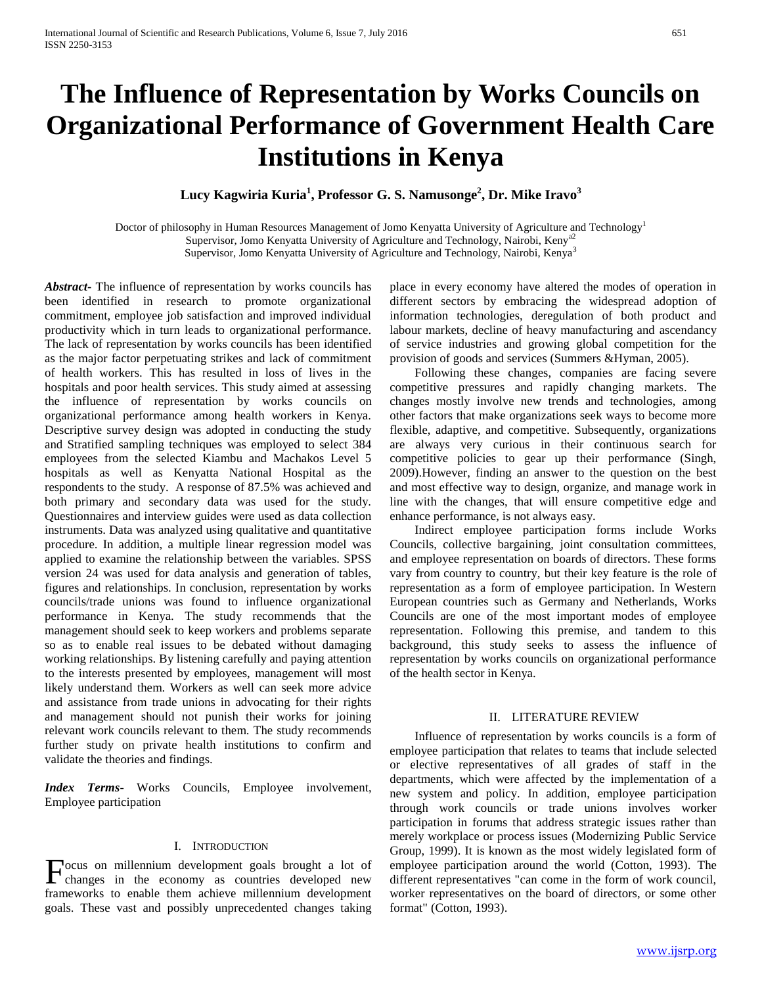# **The Influence of Representation by Works Councils on Organizational Performance of Government Health Care Institutions in Kenya**

**Lucy Kagwiria Kuria<sup>1</sup> , Professor G. S. Namusonge<sup>2</sup> , Dr. Mike Iravo<sup>3</sup>**

Doctor of philosophy in Human Resources Management of Jomo Kenyatta University of Agriculture and Technology<sup>1</sup> Supervisor, Jomo Kenyatta University of Agriculture and Technology, Nairobi, Kenya2 Supervisor, Jomo Kenyatta University of Agriculture and Technology, Nairobi, Kenya<sup>3</sup>

*Abstract***-** The influence of representation by works councils has been identified in research to promote organizational commitment, employee job satisfaction and improved individual productivity which in turn leads to organizational performance. The lack of representation by works councils has been identified as the major factor perpetuating strikes and lack of commitment of health workers. This has resulted in loss of lives in the hospitals and poor health services. This study aimed at assessing the influence of representation by works councils on organizational performance among health workers in Kenya. Descriptive survey design was adopted in conducting the study and Stratified sampling techniques was employed to select 384 employees from the selected Kiambu and Machakos Level 5 hospitals as well as Kenyatta National Hospital as the respondents to the study. A response of 87.5% was achieved and both primary and secondary data was used for the study. Questionnaires and interview guides were used as data collection instruments. Data was analyzed using qualitative and quantitative procedure. In addition, a multiple linear regression model was applied to examine the relationship between the variables. SPSS version 24 was used for data analysis and generation of tables, figures and relationships. In conclusion, representation by works councils/trade unions was found to influence organizational performance in Kenya. The study recommends that the management should seek to keep workers and problems separate so as to enable real issues to be debated without damaging working relationships. By listening carefully and paying attention to the interests presented by employees, management will most likely understand them. Workers as well can seek more advice and assistance from trade unions in advocating for their rights and management should not punish their works for joining relevant work councils relevant to them. The study recommends further study on private health institutions to confirm and validate the theories and findings.

*Index Terms*- Works Councils, Employee involvement, Employee participation

## I. INTRODUCTION

ocus on millennium development goals brought a lot of **F**ocus on millennium development goals brought a lot of changes in the economy as countries developed new frameworks to enable them achieve millennium development goals. These vast and possibly unprecedented changes taking

place in every economy have altered the modes of operation in different sectors by embracing the widespread adoption of information technologies, deregulation of both product and labour markets, decline of heavy manufacturing and ascendancy of service industries and growing global competition for the provision of goods and services (Summers &Hyman, 2005).

 Following these changes, companies are facing severe competitive pressures and rapidly changing markets. The changes mostly involve new trends and technologies, among other factors that make organizations seek ways to become more flexible, adaptive, and competitive. Subsequently, organizations are always very curious in their continuous search for competitive policies to gear up their performance (Singh, 2009).However, finding an answer to the question on the best and most effective way to design, organize, and manage work in line with the changes, that will ensure competitive edge and enhance performance, is not always easy.

 Indirect employee participation forms include Works Councils, collective bargaining, joint consultation committees, and employee representation on boards of directors. These forms vary from country to country, but their key feature is the role of representation as a form of employee participation. In Western European countries such as Germany and Netherlands, Works Councils are one of the most important modes of employee representation. Following this premise, and tandem to this background, this study seeks to assess the influence of representation by works councils on organizational performance of the health sector in Kenya.

#### II. LITERATURE REVIEW

 Influence of representation by works councils is a form of employee participation that relates to teams that include selected or elective representatives of all grades of staff in the departments, which were affected by the implementation of a new system and policy. In addition, employee participation through work councils or trade unions involves worker participation in forums that address strategic issues rather than merely workplace or process issues (Modernizing Public Service Group, 1999). It is known as the most widely legislated form of employee participation around the world (Cotton, 1993). The different representatives "can come in the form of work council, worker representatives on the board of directors, or some other format" (Cotton, 1993).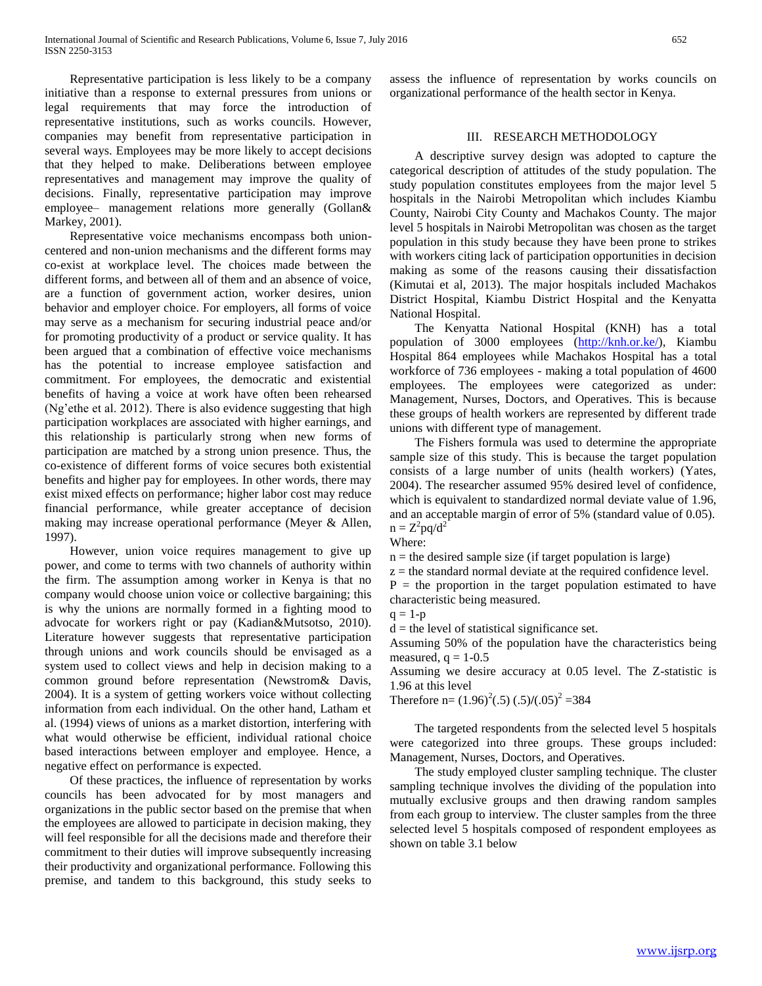Representative participation is less likely to be a company initiative than a response to external pressures from unions or legal requirements that may force the introduction of representative institutions, such as works councils. However, companies may benefit from representative participation in several ways. Employees may be more likely to accept decisions that they helped to make. Deliberations between employee representatives and management may improve the quality of decisions. Finally, representative participation may improve employee– management relations more generally (Gollan& Markey, 2001).

 Representative voice mechanisms encompass both unioncentered and non-union mechanisms and the different forms may co-exist at workplace level. The choices made between the different forms, and between all of them and an absence of voice, are a function of government action, worker desires, union behavior and employer choice. For employers, all forms of voice may serve as a mechanism for securing industrial peace and/or for promoting productivity of a product or service quality. It has been argued that a combination of effective voice mechanisms has the potential to increase employee satisfaction and commitment. For employees, the democratic and existential benefits of having a voice at work have often been rehearsed (Ng'ethe et al. 2012). There is also evidence suggesting that high participation workplaces are associated with higher earnings, and this relationship is particularly strong when new forms of participation are matched by a strong union presence. Thus, the co-existence of different forms of voice secures both existential benefits and higher pay for employees. In other words, there may exist mixed effects on performance; higher labor cost may reduce financial performance, while greater acceptance of decision making may increase operational performance (Meyer & Allen, 1997).

 However, union voice requires management to give up power, and come to terms with two channels of authority within the firm. The assumption among worker in Kenya is that no company would choose union voice or collective bargaining; this is why the unions are normally formed in a fighting mood to advocate for workers right or pay (Kadian&Mutsotso, 2010). Literature however suggests that representative participation through unions and work councils should be envisaged as a system used to collect views and help in decision making to a common ground before representation (Newstrom& Davis, 2004). It is a system of getting workers voice without collecting information from each individual. On the other hand, Latham et al. (1994) views of unions as a market distortion, interfering with what would otherwise be efficient, individual rational choice based interactions between employer and employee. Hence, a negative effect on performance is expected.

 Of these practices, the influence of representation by works councils has been advocated for by most managers and organizations in the public sector based on the premise that when the employees are allowed to participate in decision making, they will feel responsible for all the decisions made and therefore their commitment to their duties will improve subsequently increasing their productivity and organizational performance. Following this premise, and tandem to this background, this study seeks to

assess the influence of representation by works councils on organizational performance of the health sector in Kenya.

### III. RESEARCH METHODOLOGY

 A descriptive survey design was adopted to capture the categorical description of attitudes of the study population. The study population constitutes employees from the major level 5 hospitals in the Nairobi Metropolitan which includes Kiambu County, Nairobi City County and Machakos County. The major level 5 hospitals in Nairobi Metropolitan was chosen as the target population in this study because they have been prone to strikes with workers citing lack of participation opportunities in decision making as some of the reasons causing their dissatisfaction (Kimutai et al, 2013). The major hospitals included Machakos District Hospital, Kiambu District Hospital and the Kenyatta National Hospital.

 The Kenyatta National Hospital (KNH) has a total population of 3000 employees [\(http://knh.or.ke/\)](http://knh.or.ke/), Kiambu Hospital 864 employees while Machakos Hospital has a total workforce of 736 employees - making a total population of 4600 employees. The employees were categorized as under: Management, Nurses, Doctors, and Operatives. This is because these groups of health workers are represented by different trade unions with different type of management.

 The Fishers formula was used to determine the appropriate sample size of this study. This is because the target population consists of a large number of units (health workers) (Yates, 2004). The researcher assumed 95% desired level of confidence, which is equivalent to standardized normal deviate value of 1.96, and an acceptable margin of error of 5% (standard value of 0.05).  $n = Z^2 pq/d^2$ 

Where:

 $n =$  the desired sample size (if target population is large)

 $z =$  the standard normal deviate at the required confidence level.  $P =$  the proportion in the target population estimated to have characteristic being measured.

 $q = 1-p$ 

 $d =$  the level of statistical significance set.

Assuming 50% of the population have the characteristics being measured,  $q = 1-0.5$ 

Assuming we desire accuracy at 0.05 level. The Z-statistic is 1.96 at this level

Therefore  $n = (1.96)^2(.5) (.5)/(.05)^2 = 384$ 

 The targeted respondents from the selected level 5 hospitals were categorized into three groups. These groups included: Management, Nurses, Doctors, and Operatives.

 The study employed cluster sampling technique. The cluster sampling technique involves the dividing of the population into mutually exclusive groups and then drawing random samples from each group to interview. The cluster samples from the three selected level 5 hospitals composed of respondent employees as shown on table 3.1 below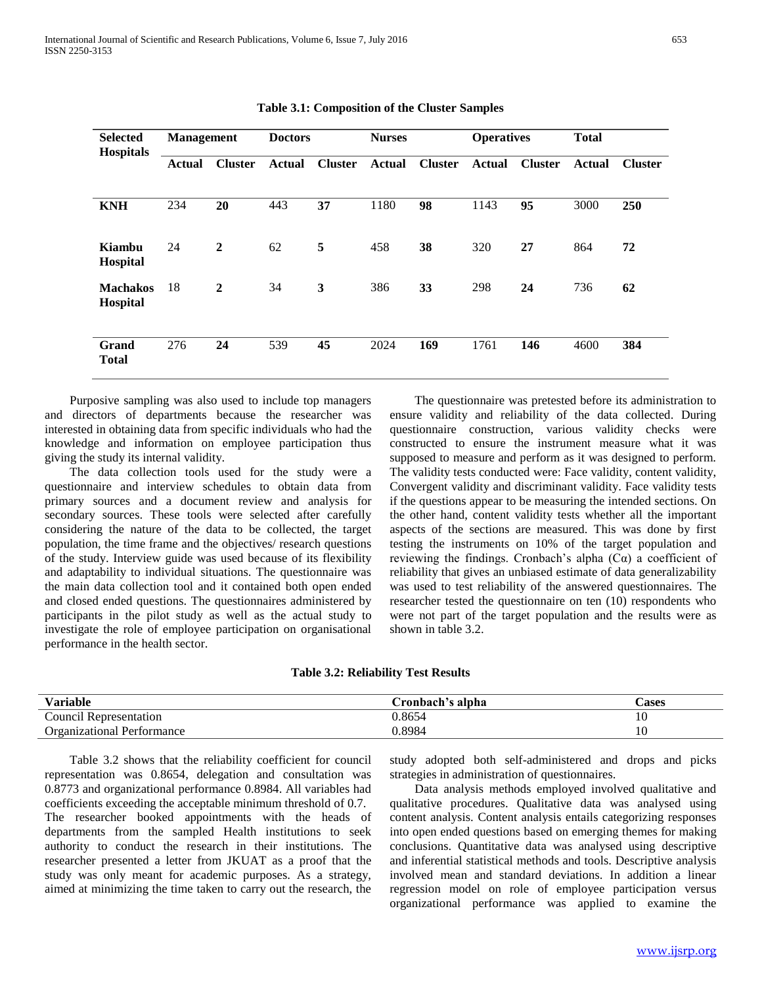| <b>Selected</b><br><b>Hospitals</b> | <b>Management</b> |                | <b>Doctors</b> |                | <b>Nurses</b> |                | <b>Operatives</b> |                | <b>Total</b>  |                |
|-------------------------------------|-------------------|----------------|----------------|----------------|---------------|----------------|-------------------|----------------|---------------|----------------|
|                                     | <b>Actual</b>     | <b>Cluster</b> | <b>Actual</b>  | <b>Cluster</b> | <b>Actual</b> | <b>Cluster</b> | <b>Actual</b>     | <b>Cluster</b> | <b>Actual</b> | <b>Cluster</b> |
| <b>KNH</b>                          | 234               | 20             | 443            | 37             | 1180          | 98             | 1143              | 95             | 3000          | 250            |
| Kiambu<br>Hospital                  | 24                | $\overline{2}$ | 62             | 5              | 458           | 38             | 320               | 27             | 864           | 72             |
| <b>Machakos</b><br>Hospital         | 18                | $\mathbf{2}$   | 34             | 3              | 386           | 33             | 298               | 24             | 736           | 62             |
| Grand<br><b>Total</b>               | 276               | 24             | 539            | 45             | 2024          | 169            | 1761              | 146            | 4600          | 384            |

| Table 3.1: Composition of the Cluster Samples |
|-----------------------------------------------|
|-----------------------------------------------|

 Purposive sampling was also used to include top managers and directors of departments because the researcher was interested in obtaining data from specific individuals who had the knowledge and information on employee participation thus giving the study its internal validity.

 The data collection tools used for the study were a questionnaire and interview schedules to obtain data from primary sources and a document review and analysis for secondary sources. These tools were selected after carefully considering the nature of the data to be collected, the target population, the time frame and the objectives/ research questions of the study. Interview guide was used because of its flexibility and adaptability to individual situations. The questionnaire was the main data collection tool and it contained both open ended and closed ended questions. The questionnaires administered by participants in the pilot study as well as the actual study to investigate the role of employee participation on organisational performance in the health sector.

 The questionnaire was pretested before its administration to ensure validity and reliability of the data collected. During questionnaire construction, various validity checks were constructed to ensure the instrument measure what it was supposed to measure and perform as it was designed to perform. The validity tests conducted were: Face validity, content validity, Convergent validity and discriminant validity. Face validity tests if the questions appear to be measuring the intended sections. On the other hand, content validity tests whether all the important aspects of the sections are measured. This was done by first testing the instruments on 10% of the target population and reviewing the findings. Cronbach's alpha  $(C\alpha)$  a coefficient of reliability that gives an unbiased estimate of data generalizability was used to test reliability of the answered questionnaires. The researcher tested the questionnaire on ten (10) respondents who were not part of the target population and the results were as shown in table 3.2.

|  |  | <b>Table 3.2: Reliability Test Results</b> |
|--|--|--------------------------------------------|
|--|--|--------------------------------------------|

| Variable                          | Cronbach's alpha | ases |
|-----------------------------------|------------------|------|
| Council Representation            | J.8654           | 1 U  |
| <b>Organizational Performance</b> | .8984            | ⊥ ∪  |

 Table 3.2 shows that the reliability coefficient for council representation was 0.8654, delegation and consultation was 0.8773 and organizational performance 0.8984. All variables had coefficients exceeding the acceptable minimum threshold of 0.7. The researcher booked appointments with the heads of departments from the sampled Health institutions to seek authority to conduct the research in their institutions. The researcher presented a letter from JKUAT as a proof that the study was only meant for academic purposes. As a strategy, aimed at minimizing the time taken to carry out the research, the study adopted both self-administered and drops and picks strategies in administration of questionnaires.

 Data analysis methods employed involved qualitative and qualitative procedures. Qualitative data was analysed using content analysis. Content analysis entails categorizing responses into open ended questions based on emerging themes for making conclusions. Quantitative data was analysed using descriptive and inferential statistical methods and tools. Descriptive analysis involved mean and standard deviations. In addition a linear regression model on role of employee participation versus organizational performance was applied to examine the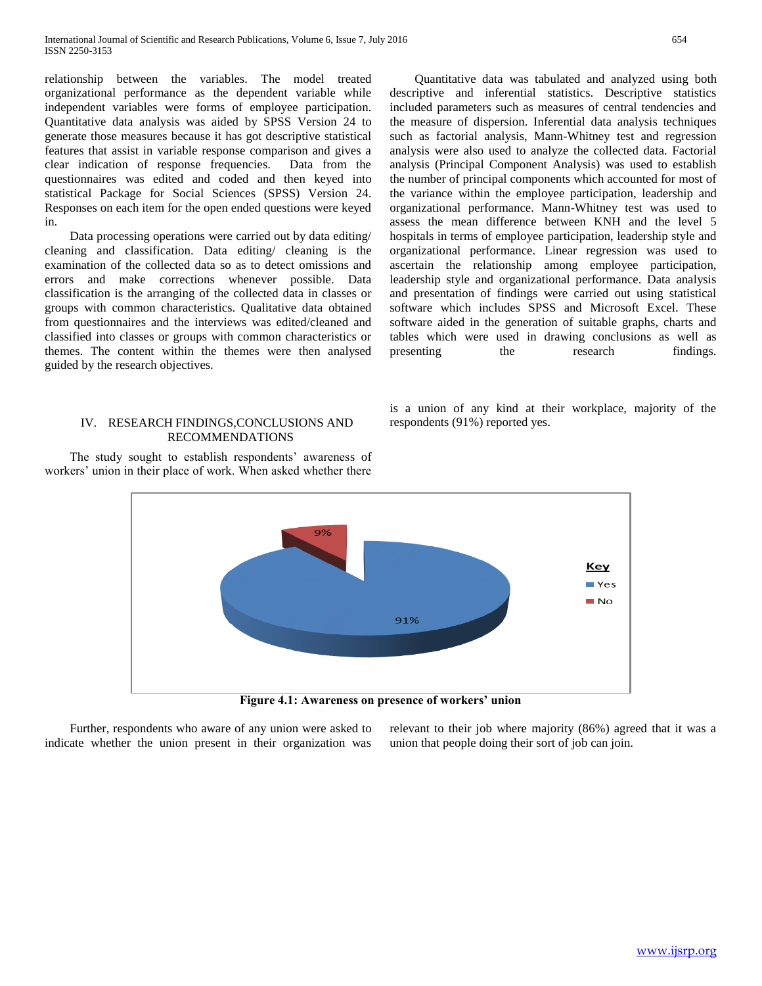relationship between the variables. The model treated organizational performance as the dependent variable while independent variables were forms of employee participation. Quantitative data analysis was aided by SPSS Version 24 to generate those measures because it has got descriptive statistical features that assist in variable response comparison and gives a clear indication of response frequencies. questionnaires was edited and coded and then keyed into statistical Package for Social Sciences (SPSS) Version 24. Responses on each item for the open ended questions were keyed in.

 Data processing operations were carried out by data editing/ cleaning and classification. Data editing/ cleaning is the examination of the collected data so as to detect omissions and errors and make corrections whenever possible. Data classification is the arranging of the collected data in classes or groups with common characteristics. Qualitative data obtained from questionnaires and the interviews was edited/cleaned and classified into classes or groups with common characteristics or themes. The content within the themes were then analysed guided by the research objectives.

### IV. RESEARCH FINDINGS,CONCLUSIONS AND RECOMMENDATIONS

 The study sought to establish respondents' awareness of workers' union in their place of work. When asked whether there

 Quantitative data was tabulated and analyzed using both descriptive and inferential statistics. Descriptive statistics included parameters such as measures of central tendencies and the measure of dispersion. Inferential data analysis techniques such as factorial analysis, Mann-Whitney test and regression analysis were also used to analyze the collected data. Factorial analysis (Principal Component Analysis) was used to establish the number of principal components which accounted for most of the variance within the employee participation, leadership and organizational performance. Mann-Whitney test was used to assess the mean difference between KNH and the level 5 hospitals in terms of employee participation, leadership style and organizational performance. Linear regression was used to ascertain the relationship among employee participation, leadership style and organizational performance. Data analysis and presentation of findings were carried out using statistical software which includes SPSS and Microsoft Excel. These software aided in the generation of suitable graphs, charts and tables which were used in drawing conclusions as well as presenting the research findings.

is a union of any kind at their workplace, majority of the respondents (91%) reported yes.



**Figure 4.1: Awareness on presence of workers' union**

 Further, respondents who aware of any union were asked to indicate whether the union present in their organization was relevant to their job where majority (86%) agreed that it was a union that people doing their sort of job can join.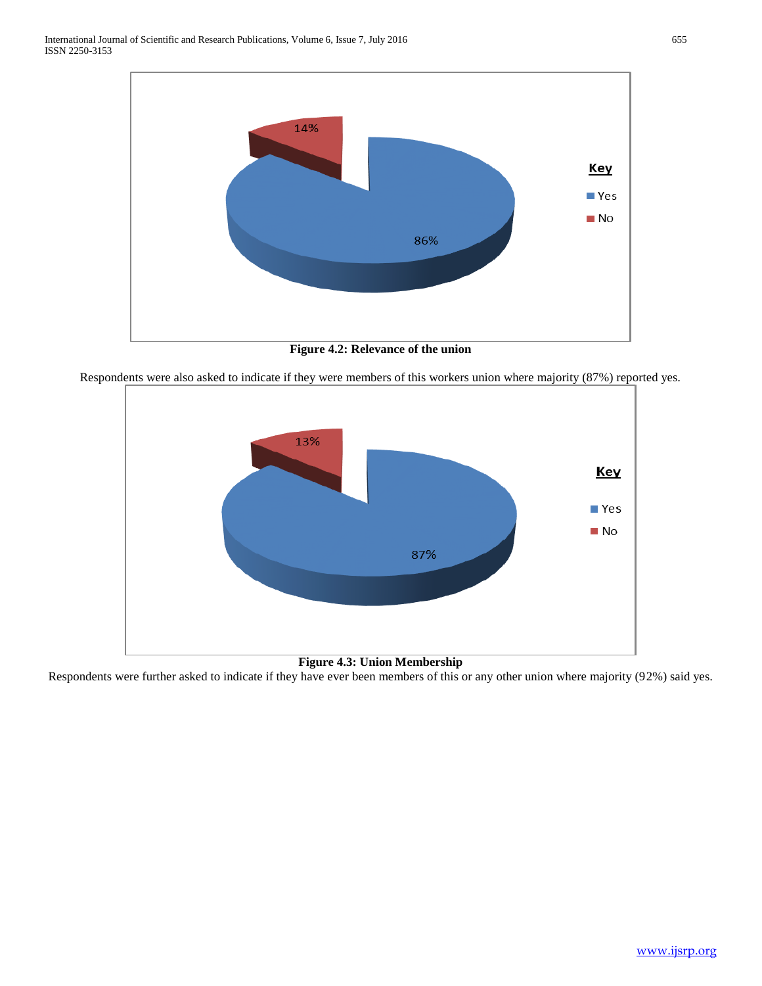

**Figure 4.2: Relevance of the union**

Respondents were also asked to indicate if they were members of this workers union where majority (87%) reported yes.



**Figure 4.3: Union Membership**

Respondents were further asked to indicate if they have ever been members of this or any other union where majority (92%) said yes.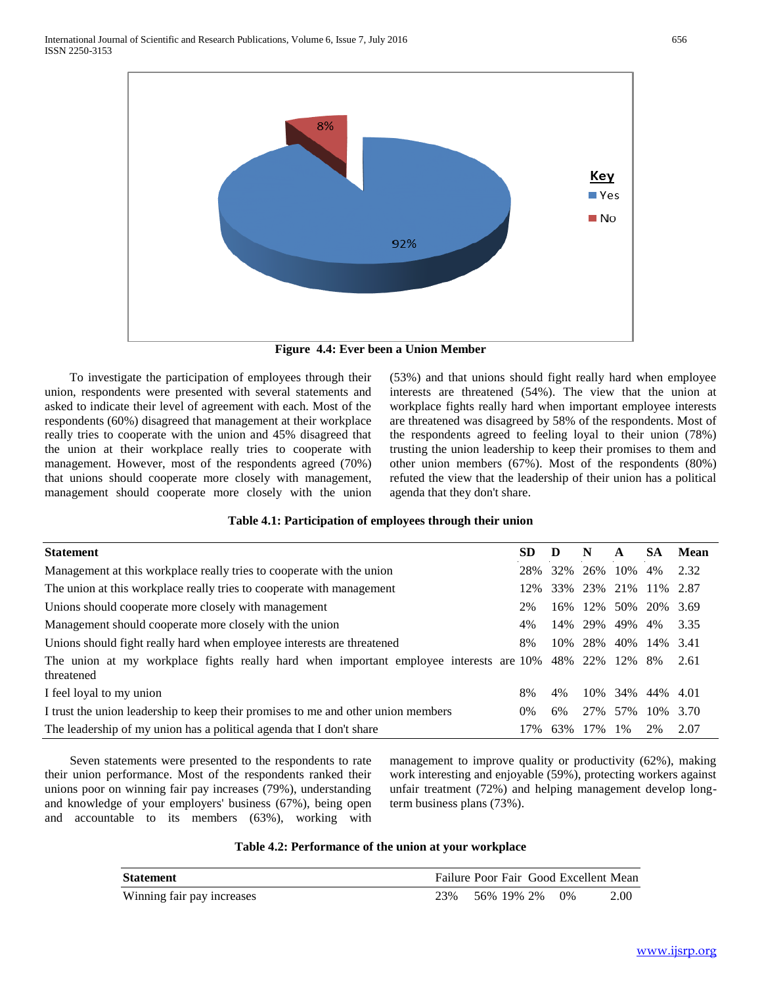

**Figure 4.4: Ever been a Union Member**

 To investigate the participation of employees through their union, respondents were presented with several statements and asked to indicate their level of agreement with each. Most of the respondents (60%) disagreed that management at their workplace really tries to cooperate with the union and 45% disagreed that the union at their workplace really tries to cooperate with management. However, most of the respondents agreed (70%) that unions should cooperate more closely with management, management should cooperate more closely with the union

(53%) and that unions should fight really hard when employee interests are threatened (54%). The view that the union at workplace fights really hard when important employee interests are threatened was disagreed by 58% of the respondents. Most of the respondents agreed to feeling loyal to their union (78%) trusting the union leadership to keep their promises to them and other union members (67%). Most of the respondents (80%) refuted the view that the leadership of their union has a political agenda that they don't share.

## **Table 4.1: Participation of employees through their union**

| <b>Statement</b>                                                                                                 | SD.    | Ð   | N              | A         | <b>SA</b>            | Mean |
|------------------------------------------------------------------------------------------------------------------|--------|-----|----------------|-----------|----------------------|------|
| Management at this workplace really tries to cooperate with the union                                            | 28%    |     | 32\% 26\% 10\% |           | 4%                   | 2.32 |
| The union at this workplace really tries to cooperate with management                                            | $12\%$ |     |                |           | 33% 23% 21% 11% 2.87 |      |
| Unions should cooperate more closely with management                                                             | 2%     | 16% | 12%            | 50%       | 20\% 3.69            |      |
| Management should cooperate more closely with the union                                                          | 4%     | 14% | 29% 49%        |           | 4%                   | 3.35 |
| Unions should fight really hard when employee interests are threatened                                           | 8%     | 10% | 28%            |           | 40\% 14\% 3.41       |      |
| The union at my workplace fights really hard when important employee interests are 10% 48% 22% 12%<br>threatened |        |     |                |           | 8%                   | 2.61 |
| I feel loyal to my union                                                                                         | 8%     | 4%  |                | 10\% 34\% | 44% 4.01             |      |
| I trust the union leadership to keep their promises to me and other union members                                | $0\%$  | 6%  | 27%            | 57%       | 10%                  | 3.70 |
| The leadership of my union has a political agenda that I don't share                                             | 17%    | 63% | 17%            | 1%        | 2%                   | 2.07 |

 Seven statements were presented to the respondents to rate their union performance. Most of the respondents ranked their unions poor on winning fair pay increases (79%), understanding and knowledge of your employers' business (67%), being open and accountable to its members (63%), working with

management to improve quality or productivity (62%), making work interesting and enjoyable (59%), protecting workers against unfair treatment (72%) and helping management develop longterm business plans (73%).

### **Table 4.2: Performance of the union at your workplace**

| <b>Statement</b>           |                        |  | Failure Poor Fair Good Excellent Mean |      |
|----------------------------|------------------------|--|---------------------------------------|------|
| Winning fair pay increases | 23\% 56\% 19\% 2\% 0\% |  |                                       | 2.00 |